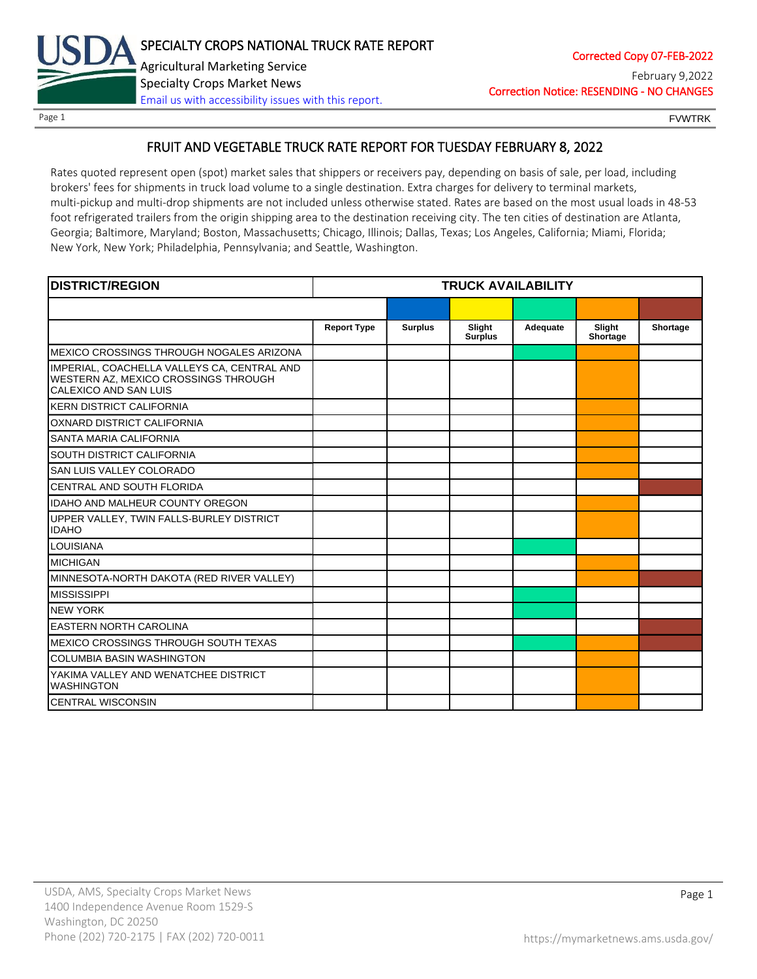

### Page 1 **FOUL EXAMPLE 2008** FOUND FOUND FOUND FOUND FOUND FOUND FOUND FOUND FOUND FOUND FOUND FOUND FOUND FOUND FOUND FOUND FOUND FOUND FOUND FOUND FOUND FOUND FOUND FOUND FOUND FOUND FOUND FOUND FOUND FOUND FOUND FOUND FOU

## FRUIT AND VEGETABLE TRUCK RATE REPORT FOR TUESDAY FEBRUARY 8, 2022

Rates quoted represent open (spot) market sales that shippers or receivers pay, depending on basis of sale, per load, including brokers' fees for shipments in truck load volume to a single destination. Extra charges for delivery to terminal markets, multi-pickup and multi-drop shipments are not included unless otherwise stated. Rates are based on the most usual loads in 48-53 foot refrigerated trailers from the origin shipping area to the destination receiving city. The ten cities of destination are Atlanta, Georgia; Baltimore, Maryland; Boston, Massachusetts; Chicago, Illinois; Dallas, Texas; Los Angeles, California; Miami, Florida; New York, New York; Philadelphia, Pennsylvania; and Seattle, Washington.

| <b>DISTRICT/REGION</b>                                                                                       | <b>TRUCK AVAILABILITY</b> |                |                          |          |                    |          |
|--------------------------------------------------------------------------------------------------------------|---------------------------|----------------|--------------------------|----------|--------------------|----------|
|                                                                                                              |                           |                |                          |          |                    |          |
|                                                                                                              | <b>Report Type</b>        | <b>Surplus</b> | Slight<br><b>Surplus</b> | Adequate | Slight<br>Shortage | Shortage |
| MEXICO CROSSINGS THROUGH NOGALES ARIZONA                                                                     |                           |                |                          |          |                    |          |
| IMPERIAL, COACHELLA VALLEYS CA, CENTRAL AND<br>WESTERN AZ, MEXICO CROSSINGS THROUGH<br>CALEXICO AND SAN LUIS |                           |                |                          |          |                    |          |
| <b>KERN DISTRICT CALIFORNIA</b>                                                                              |                           |                |                          |          |                    |          |
| OXNARD DISTRICT CALIFORNIA                                                                                   |                           |                |                          |          |                    |          |
| SANTA MARIA CALIFORNIA                                                                                       |                           |                |                          |          |                    |          |
| SOUTH DISTRICT CALIFORNIA                                                                                    |                           |                |                          |          |                    |          |
| SAN LUIS VALLEY COLORADO                                                                                     |                           |                |                          |          |                    |          |
| CENTRAL AND SOUTH FLORIDA                                                                                    |                           |                |                          |          |                    |          |
| <b>IDAHO AND MALHEUR COUNTY OREGON</b>                                                                       |                           |                |                          |          |                    |          |
| UPPER VALLEY, TWIN FALLS-BURLEY DISTRICT<br><b>IDAHO</b>                                                     |                           |                |                          |          |                    |          |
| <b>LOUISIANA</b>                                                                                             |                           |                |                          |          |                    |          |
| <b>MICHIGAN</b>                                                                                              |                           |                |                          |          |                    |          |
| MINNESOTA-NORTH DAKOTA (RED RIVER VALLEY)                                                                    |                           |                |                          |          |                    |          |
| <b>MISSISSIPPI</b>                                                                                           |                           |                |                          |          |                    |          |
| <b>NEW YORK</b>                                                                                              |                           |                |                          |          |                    |          |
| <b>EASTERN NORTH CAROLINA</b>                                                                                |                           |                |                          |          |                    |          |
| MEXICO CROSSINGS THROUGH SOUTH TEXAS                                                                         |                           |                |                          |          |                    |          |
| <b>COLUMBIA BASIN WASHINGTON</b>                                                                             |                           |                |                          |          |                    |          |
| YAKIMA VALLEY AND WENATCHEE DISTRICT<br><b>WASHINGTON</b>                                                    |                           |                |                          |          |                    |          |
| <b>CENTRAL WISCONSIN</b>                                                                                     |                           |                |                          |          |                    |          |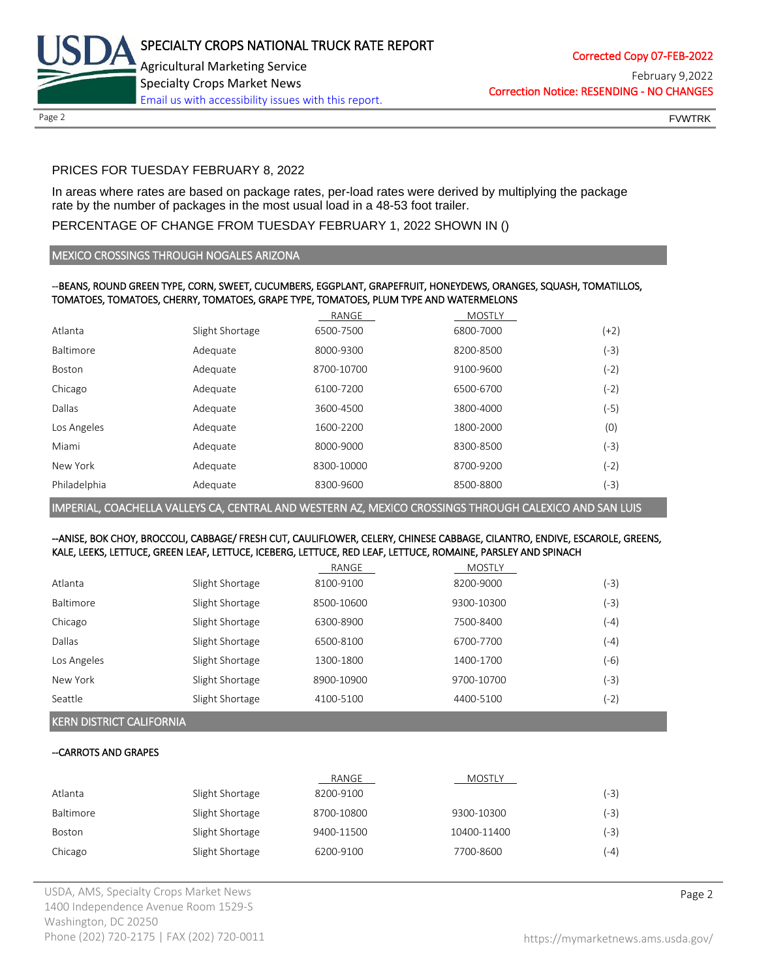

Correction Notice: RESENDING - NO CHANGES February 9,2022

Page 2 FOUNTRK CONTROL CONTROL CONTROL CONTROL CONTROL CONTROL CONTROL CONTROL CONTROL CONTROL CONTROL CONTROL CONTROL CONTROL CONTROL CONTROL CONTROL CONTROL CONTROL CONTROL CONTROL CONTROL CONTROL CONTROL CONTROL CONTROL

# PRICES FOR TUESDAY FEBRUARY 8, 2022

In areas where rates are based on package rates, per-load rates were derived by multiplying the package rate by the number of packages in the most usual load in a 48-53 foot trailer.

# PERCENTAGE OF CHANGE FROM TUESDAY FEBRUARY 1, 2022 SHOWN IN ()

## MEXICO CROSSINGS THROUGH NOGALES ARIZONA

### --BEANS, ROUND GREEN TYPE, CORN, SWEET, CUCUMBERS, EGGPLANT, GRAPEFRUIT, HONEYDEWS, ORANGES, SQUASH, TOMATILLOS, TOMATOES, TOMATOES, CHERRY, TOMATOES, GRAPE TYPE, TOMATOES, PLUM TYPE AND WATERMELONS

|                  |                 | RANGE      | <b>MOSTLY</b> |        |
|------------------|-----------------|------------|---------------|--------|
| Atlanta          | Slight Shortage | 6500-7500  | 6800-7000     | $(+2)$ |
| <b>Baltimore</b> | Adequate        | 8000-9300  | 8200-8500     | $(-3)$ |
| Boston           | Adequate        | 8700-10700 | 9100-9600     | $(-2)$ |
| Chicago          | Adequate        | 6100-7200  | 6500-6700     | $(-2)$ |
| Dallas           | Adequate        | 3600-4500  | 3800-4000     | $(-5)$ |
| Los Angeles      | Adequate        | 1600-2200  | 1800-2000     | (0)    |
| Miami            | Adequate        | 8000-9000  | 8300-8500     | $(-3)$ |
| New York         | Adequate        | 8300-10000 | 8700-9200     | (-2)   |
| Philadelphia     | Adequate        | 8300-9600  | 8500-8800     | (-3)   |

IMPERIAL, COACHELLA VALLEYS CA, CENTRAL AND WESTERN AZ, MEXICO CROSSINGS THROUGH CALEXICO AND SAN LUIS

### --ANISE, BOK CHOY, BROCCOLI, CABBAGE/ FRESH CUT, CAULIFLOWER, CELERY, CHINESE CABBAGE, CILANTRO, ENDIVE, ESCAROLE, GREENS, KALE, LEEKS, LETTUCE, GREEN LEAF, LETTUCE, ICEBERG, LETTUCE, RED LEAF, LETTUCE, ROMAINE, PARSLEY AND SPINACH

|             |                 | RANGE      | <b>MOSTLY</b> |        |
|-------------|-----------------|------------|---------------|--------|
| Atlanta     | Slight Shortage | 8100-9100  | 8200-9000     | (-3)   |
| Baltimore   | Slight Shortage | 8500-10600 | 9300-10300    | (-3)   |
| Chicago     | Slight Shortage | 6300-8900  | 7500-8400     | $(-4)$ |
| Dallas      | Slight Shortage | 6500-8100  | 6700-7700     | $(-4)$ |
| Los Angeles | Slight Shortage | 1300-1800  | 1400-1700     | (-6)   |
| New York    | Slight Shortage | 8900-10900 | 9700-10700    | $(-3)$ |
| Seattle     | Slight Shortage | 4100-5100  | 4400-5100     | $(-2)$ |

# KERN DISTRICT CALIFORNIA

# --CARROTS AND GRAPES

|           |                 | RANGE      | <b>MOSTLY</b> |        |
|-----------|-----------------|------------|---------------|--------|
| Atlanta   | Slight Shortage | 8200-9100  |               | (-3)   |
| Baltimore | Slight Shortage | 8700-10800 | 9300-10300    | (-3)   |
| Boston    | Slight Shortage | 9400-11500 | 10400-11400   | (-3)   |
| Chicago   | Slight Shortage | 6200-9100  | 7700-8600     | $(-4)$ |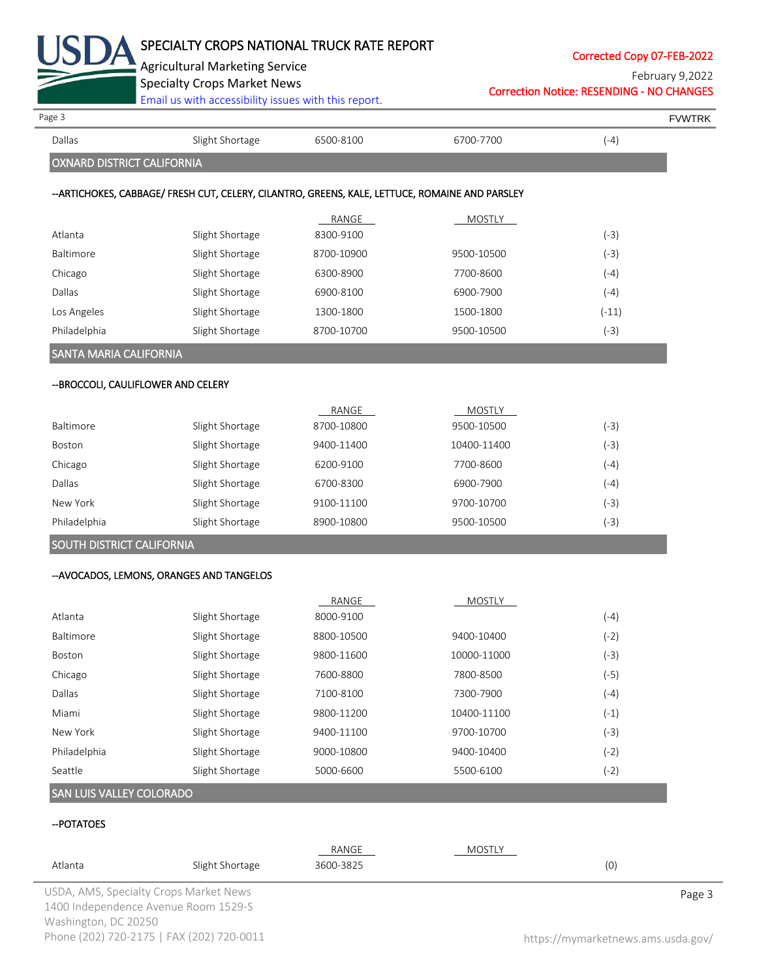

Corrected Copy 07-FEB-2022

Agricultural Marketing Service Specialty Crops Market News

[Email us with accessibility issues with this report.](mailto:mars@ams.usda.gov?subject=508%20Inquiry/Report)

Correction Notice: RESENDING - NO CHANGES February 9,2022

| Page 3                              |                                                                                                |            |               |         | <b>FVWTRK</b> |
|-------------------------------------|------------------------------------------------------------------------------------------------|------------|---------------|---------|---------------|
| Dallas                              | Slight Shortage                                                                                | 6500-8100  | 6700-7700     | $(-4)$  |               |
| <b>OXNARD DISTRICT CALIFORNIA</b>   |                                                                                                |            |               |         |               |
|                                     | --ARTICHOKES, CABBAGE/ FRESH CUT, CELERY, CILANTRO, GREENS, KALE, LETTUCE, ROMAINE AND PARSLEY |            |               |         |               |
|                                     |                                                                                                | RANGE      | <b>MOSTLY</b> |         |               |
| Atlanta                             | Slight Shortage                                                                                | 8300-9100  |               | $(-3)$  |               |
| Baltimore                           | Slight Shortage                                                                                | 8700-10900 | 9500-10500    | $(-3)$  |               |
| Chicago                             | Slight Shortage                                                                                | 6300-8900  | 7700-8600     | $(-4)$  |               |
| Dallas                              | Slight Shortage                                                                                | 6900-8100  | 6900-7900     | $(-4)$  |               |
| Los Angeles                         | Slight Shortage                                                                                | 1300-1800  | 1500-1800     | $(-11)$ |               |
| Philadelphia                        | Slight Shortage                                                                                | 8700-10700 | 9500-10500    | $(-3)$  |               |
| SANTA MARIA CALIFORNIA              |                                                                                                |            |               |         |               |
| -- BROCCOLI, CAULIFLOWER AND CELERY |                                                                                                |            |               |         |               |
|                                     |                                                                                                | RANGE      | <b>MOSTLY</b> |         |               |
| Baltimore                           | Slight Shortage                                                                                | 8700-10800 | 9500-10500    | $(-3)$  |               |
| Boston                              | Slight Shortage                                                                                | 9400-11400 | 10400-11400   | $(-3)$  |               |
| Chicago                             | Slight Shortage                                                                                | 6200-9100  | 7700-8600     | $(-4)$  |               |
| Dallas                              | Slight Shortage                                                                                | 6700-8300  | 6900-7900     | $(-4)$  |               |
| New York                            | Slight Shortage                                                                                | 9100-11100 | 9700-10700    | $(-3)$  |               |
| Philadelphia                        | Slight Shortage                                                                                | 8900-10800 | 9500-10500    | $(-3)$  |               |
| SOUTH DISTRICT CALIFORNIA           |                                                                                                |            |               |         |               |
|                                     | --AVOCADOS, LEMONS, ORANGES AND TANGELOS                                                       |            |               |         |               |
|                                     |                                                                                                | RANGE      | <b>MOSTLY</b> |         |               |
| Atlanta                             | Slight Shortage                                                                                | 8000-9100  |               | $(-4)$  |               |
| Baltimore                           | Slight Shortage                                                                                | 8800-10500 | 9400-10400    | $(-2)$  |               |
| Boston                              | Slight Shortage                                                                                | 9800-11600 | 10000-11000   | $(-3)$  |               |
| Chicago                             | Slight Shortage                                                                                | 7600-8800  | 7800-8500     | $(-5)$  |               |
| Dallas                              | Slight Shortage                                                                                | 7100-8100  | 7300-7900     | $(-4)$  |               |
| Miami                               | Slight Shortage                                                                                | 9800-11200 | 10400-11100   | $(-1)$  |               |
| New York                            | Slight Shortage                                                                                | 9400-11100 | 9700-10700    | $(-3)$  |               |
| Philadelphia                        | Slight Shortage                                                                                | 9000-10800 | 9400-10400    | $(-2)$  |               |
| Seattle                             | Slight Shortage                                                                                | 5000-6600  | 5500-6100     | $(-2)$  |               |
| SAN LUIS VALLEY COLORADO            |                                                                                                |            |               |         |               |
| -- POTATOES                         |                                                                                                |            |               |         |               |
|                                     |                                                                                                | RANGE      | <b>MOSTLY</b> |         |               |
| Atlanta                             | Slight Shortage                                                                                | 3600-3825  |               | (0)     |               |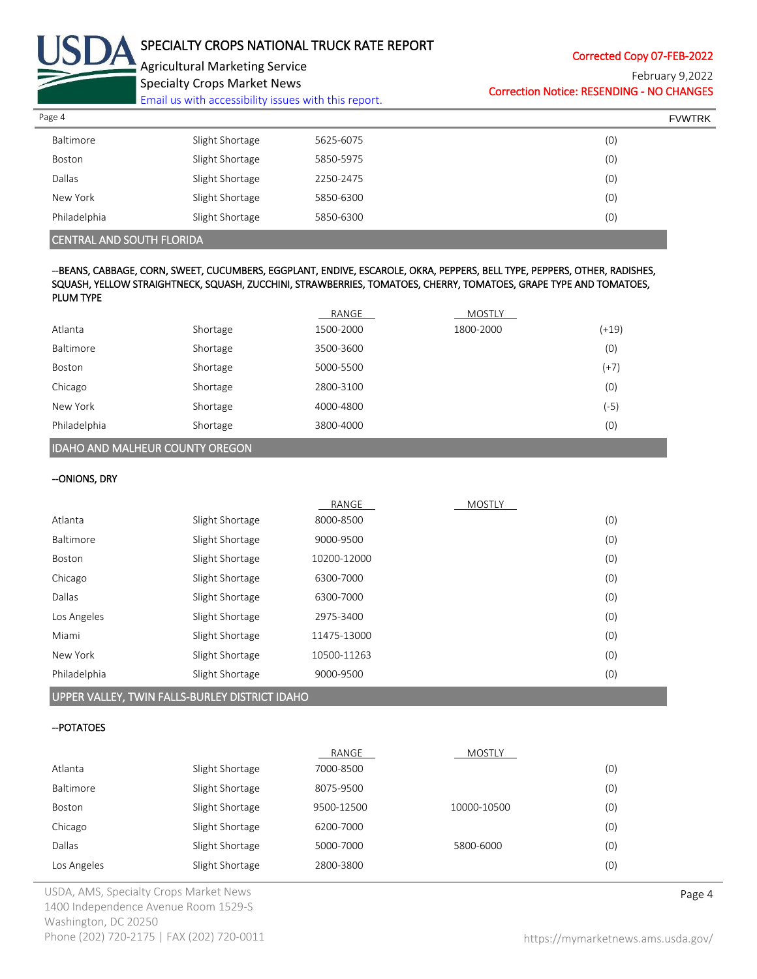

Corrected Copy 07-FEB-2022

Agricultural Marketing Service Specialty Crops Market News

[Email us with accessibility issues with this report.](mailto:mars@ams.usda.gov?subject=508%20Inquiry/Report)

Correction Notice: RESENDING - NO CHANGES February 9,2022

| Page 4        |                 |           | <b>FVWTRK</b> |
|---------------|-----------------|-----------|---------------|
| Baltimore     | Slight Shortage | 5625-6075 | (0)           |
| Boston        | Slight Shortage | 5850-5975 | (0)           |
| <b>Dallas</b> | Slight Shortage | 2250-2475 | (0)           |
| New York      | Slight Shortage | 5850-6300 | (0)           |
| Philadelphia  | Slight Shortage | 5850-6300 | (0)           |

## CENTRAL AND SOUTH FLORIDA

### --BEANS, CABBAGE, CORN, SWEET, CUCUMBERS, EGGPLANT, ENDIVE, ESCAROLE, OKRA, PEPPERS, BELL TYPE, PEPPERS, OTHER, RADISHES, SQUASH, YELLOW STRAIGHTNECK, SQUASH, ZUCCHINI, STRAWBERRIES, TOMATOES, CHERRY, TOMATOES, GRAPE TYPE AND TOMATOES, PLUM TYPE

|                                        |          | RANGE     | MOSTLY    |         |  |
|----------------------------------------|----------|-----------|-----------|---------|--|
| Atlanta                                | Shortage | 1500-2000 | 1800-2000 | $(+19)$ |  |
| Baltimore                              | Shortage | 3500-3600 |           | (0)     |  |
| Boston                                 | Shortage | 5000-5500 |           | $(+7)$  |  |
| Chicago                                | Shortage | 2800-3100 |           | (0)     |  |
| New York                               | Shortage | 4000-4800 |           | (-5)    |  |
| Philadelphia                           | Shortage | 3800-4000 |           | (0)     |  |
| <b>IDAHO AND MALHEUR COUNTY OREGON</b> |          |           |           |         |  |

| --Onions, Dry |  |
|---------------|--|
|---------------|--|

|              |                 | RANGE       | <b>MOSTLY</b> |     |
|--------------|-----------------|-------------|---------------|-----|
| Atlanta      | Slight Shortage | 8000-8500   |               | (0) |
| Baltimore    | Slight Shortage | 9000-9500   |               | (0) |
| Boston       | Slight Shortage | 10200-12000 |               | (0) |
| Chicago      | Slight Shortage | 6300-7000   |               | (0) |
| Dallas       | Slight Shortage | 6300-7000   |               | (0) |
| Los Angeles  | Slight Shortage | 2975-3400   |               | (0) |
| Miami        | Slight Shortage | 11475-13000 |               | (0) |
| New York     | Slight Shortage | 10500-11263 |               | (0) |
| Philadelphia | Slight Shortage | 9000-9500   |               | (0) |

### UPPER VALLEY, TWIN FALLS-BURLEY DISTRICT IDAHO

# --POTATOES

|             |                 | RANGE      | MOSTLY      |     |
|-------------|-----------------|------------|-------------|-----|
| Atlanta     | Slight Shortage | 7000-8500  |             | (0) |
| Baltimore   | Slight Shortage | 8075-9500  |             | (0) |
| Boston      | Slight Shortage | 9500-12500 | 10000-10500 | (0) |
| Chicago     | Slight Shortage | 6200-7000  |             | (0) |
| Dallas      | Slight Shortage | 5000-7000  | 5800-6000   | (0) |
| Los Angeles | Slight Shortage | 2800-3800  |             | (0) |

USDA, AMS, Specialty Crops Market News **Page 4** 1400 Independence Avenue Room 1529-S Washington, DC 20250 Phone (202) 720-2175 | FAX (202) 720-0011 <https://mymarketnews.ams.usda.gov/>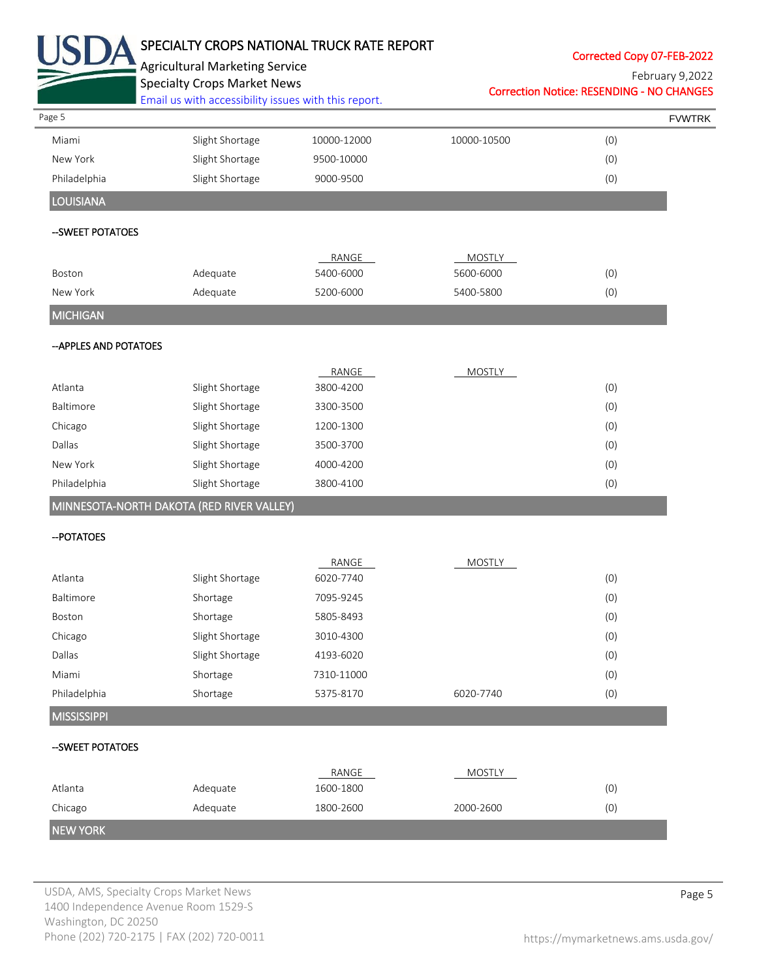|                 | Corrected Copy 07-FEB-2022                       |               | SPECIALTY CROPS NATIONAL TRUCK RATE REPORT | <b>Agricultural Marketing Service</b>                        |                        |
|-----------------|--------------------------------------------------|---------------|--------------------------------------------|--------------------------------------------------------------|------------------------|
| February 9,2022 | <b>Correction Notice: RESENDING - NO CHANGES</b> |               |                                            | <b>Specialty Crops Market News</b>                           |                        |
|                 |                                                  |               |                                            | Email us with accessibility issues with this report.         |                        |
| <b>FVWTRK</b>   |                                                  |               |                                            |                                                              | Page 5                 |
|                 | (0)                                              | 10000-10500   | 10000-12000                                | Slight Shortage                                              | Miami                  |
|                 | (0)                                              |               | 9500-10000                                 | Slight Shortage                                              | New York               |
|                 | (0)                                              |               | 9000-9500                                  | Slight Shortage                                              | Philadelphia           |
|                 |                                                  |               |                                            |                                                              | <b>LOUISIANA</b>       |
|                 |                                                  |               |                                            |                                                              | -- SWEET POTATOES      |
|                 |                                                  | <b>MOSTLY</b> | RANGE                                      |                                                              |                        |
|                 | (0)                                              | 5600-6000     | 5400-6000                                  | Adequate                                                     | Boston                 |
|                 | (0)                                              | 5400-5800     | 5200-6000                                  | Adequate                                                     | New York               |
|                 |                                                  |               |                                            |                                                              | <b>MICHIGAN</b>        |
|                 |                                                  |               |                                            |                                                              | -- APPLES AND POTATOES |
|                 |                                                  | MOSTLY        | RANGE                                      |                                                              |                        |
|                 | (0)                                              |               | 3800-4200                                  | Slight Shortage                                              | Atlanta                |
|                 | (0)                                              |               | 3300-3500                                  | Slight Shortage                                              | Baltimore              |
|                 | (0)                                              |               | 1200-1300                                  | Slight Shortage                                              | Chicago                |
|                 | (0)                                              |               | 3500-3700                                  | Slight Shortage                                              | Dallas                 |
|                 | (0)                                              |               | 4000-4200                                  | Slight Shortage                                              | New York               |
|                 | (0)                                              |               | 3800-4100                                  | Slight Shortage<br>MINNESOTA-NORTH DAKOTA (RED RIVER VALLEY) | Philadelphia           |
|                 |                                                  |               |                                            |                                                              | -- POTATOES            |
|                 |                                                  | <b>MOSTLY</b> | RANGE                                      |                                                              |                        |
|                 | (0)                                              |               | 6020-7740                                  | Slight Shortage                                              | Atlanta                |
|                 | (0)                                              |               | 7095-9245                                  | Shortage                                                     | Baltimore              |
|                 | (0)                                              |               | 5805-8493                                  | Shortage                                                     | Boston                 |
|                 | (0)                                              |               | 3010-4300                                  | Slight Shortage                                              | Chicago                |
|                 | (0)                                              |               | 4193-6020                                  | Slight Shortage                                              | Dallas                 |
|                 | (0)                                              |               | 7310-11000                                 | Shortage                                                     | Miami                  |
|                 | (0)                                              | 6020-7740     | 5375-8170                                  | Shortage                                                     | Philadelphia           |
|                 |                                                  |               |                                            |                                                              | <b>MISSISSIPPI</b>     |
|                 |                                                  |               |                                            |                                                              | --SWEET POTATOES       |
|                 |                                                  | <b>MOSTLY</b> | RANGE                                      |                                                              | Atlanta                |
|                 |                                                  |               |                                            |                                                              | Chicago                |
|                 | (0)<br>(0)                                       | 2000-2600     | 1600-1800<br>1800-2600                     | Adequate<br>Adequate                                         |                        |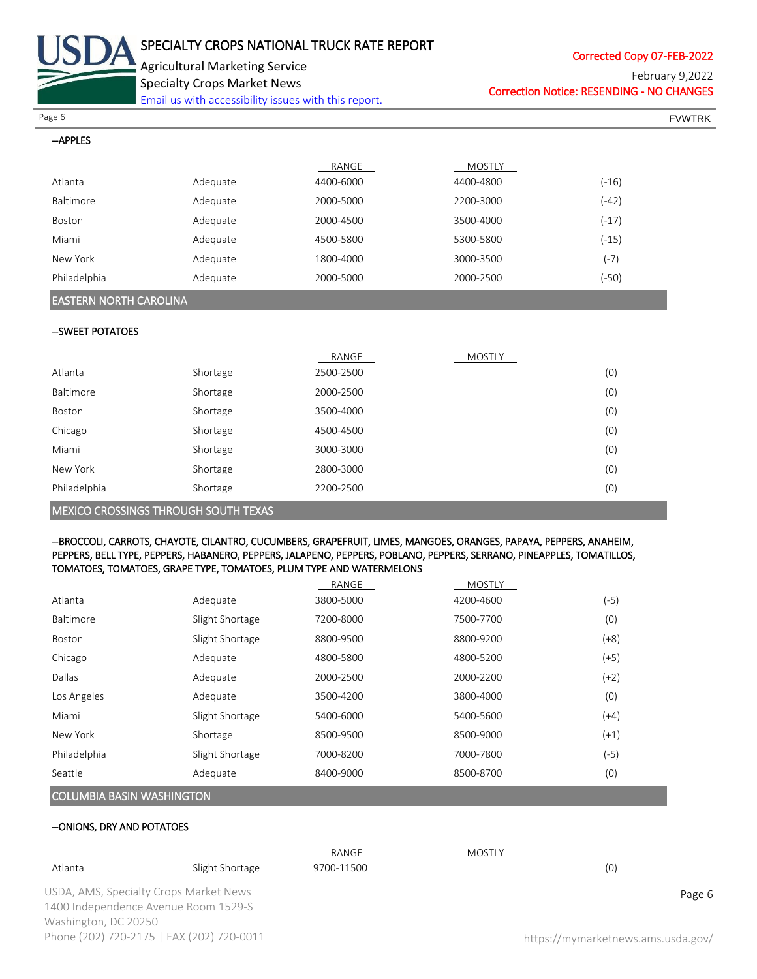

Corrected Copy 07-FEB-2022

Agricultural Marketing Service

Specialty Crops Market News

[Email us with accessibility issues with this report.](mailto:mars@ams.usda.gov?subject=508%20Inquiry/Report)

Correction Notice: RESENDING - NO CHANGES February 9,2022

Page 6 FVWTRK

 $-$ ADDIES

| — ni i LLJ       |          |           |           |         |
|------------------|----------|-----------|-----------|---------|
|                  |          | RANGE     | MOSTLY    |         |
| Atlanta          | Adequate | 4400-6000 | 4400-4800 | $(-16)$ |
| <b>Baltimore</b> | Adequate | 2000-5000 | 2200-3000 | $(-42)$ |
| Boston           | Adequate | 2000-4500 | 3500-4000 | $(-17)$ |
| Miami            | Adequate | 4500-5800 | 5300-5800 | $(-15)$ |
| New York         | Adequate | 1800-4000 | 3000-3500 | (-7)    |
| Philadelphia     | Adequate | 2000-5000 | 2000-2500 | (-50)   |

## EASTERN NORTH CAROLINA

### --SWEET POTATOES

|                                             |          | RANGE     | <b>MOSTLY</b> |     |
|---------------------------------------------|----------|-----------|---------------|-----|
| Atlanta                                     | Shortage | 2500-2500 |               | (0) |
| <b>Baltimore</b>                            | Shortage | 2000-2500 |               | (0) |
| Boston                                      | Shortage | 3500-4000 |               | (0) |
| Chicago                                     | Shortage | 4500-4500 |               | (0) |
| Miami                                       | Shortage | 3000-3000 |               | (0) |
| New York                                    | Shortage | 2800-3000 |               | (0) |
| Philadelphia                                | Shortage | 2200-2500 |               | (0) |
| <b>MEXICO CROSSINGS THROUGH SOUTH TEXAS</b> |          |           |               |     |

### --BROCCOLI, CARROTS, CHAYOTE, CILANTRO, CUCUMBERS, GRAPEFRUIT, LIMES, MANGOES, ORANGES, PAPAYA, PEPPERS, ANAHEIM, PEPPERS, BELL TYPE, PEPPERS, HABANERO, PEPPERS, JALAPENO, PEPPERS, POBLANO, PEPPERS, SERRANO, PINEAPPLES, TOMATILLOS, TOMATOES, TOMATOES, GRAPE TYPE, TOMATOES, PLUM TYPE AND WATERMELONS

|                                  |                 | RANGE     | <b>MOSTLY</b> |        |
|----------------------------------|-----------------|-----------|---------------|--------|
| Atlanta                          | Adequate        | 3800-5000 | 4200-4600     | (-5)   |
| <b>Baltimore</b>                 | Slight Shortage | 7200-8000 | 7500-7700     | (0)    |
| Boston                           | Slight Shortage | 8800-9500 | 8800-9200     | $(+8)$ |
| Chicago                          | Adequate        | 4800-5800 | 4800-5200     | (+5)   |
| Dallas                           | Adequate        | 2000-2500 | 2000-2200     | $(+2)$ |
| Los Angeles                      | Adequate        | 3500-4200 | 3800-4000     | (0)    |
| Miami                            | Slight Shortage | 5400-6000 | 5400-5600     | $(+4)$ |
| New York                         | Shortage        | 8500-9500 | 8500-9000     | (+1)   |
| Philadelphia                     | Slight Shortage | 7000-8200 | 7000-7800     | (-5)   |
| Seattle                          | Adequate        | 8400-9000 | 8500-8700     | (0)    |
| <b>COLUMBIA BASIN WASHINGTON</b> |                 |           |               |        |

# --ONIONS, DRY AND POTATOES

|                                           |                                        | RANGE      | MOSTLY |                                    |
|-------------------------------------------|----------------------------------------|------------|--------|------------------------------------|
| Atlanta                                   | Slight Shortage                        | 9700-11500 |        | (0)                                |
|                                           | USDA, AMS, Specialty Crops Market News |            |        | Page 6                             |
|                                           | 1400 Independence Avenue Room 1529-S   |            |        |                                    |
| Washington, DC 20250                      |                                        |            |        |                                    |
| Phone (202) 720-2175   FAX (202) 720-0011 |                                        |            |        | https://mymarketnews.ams.usda.gov/ |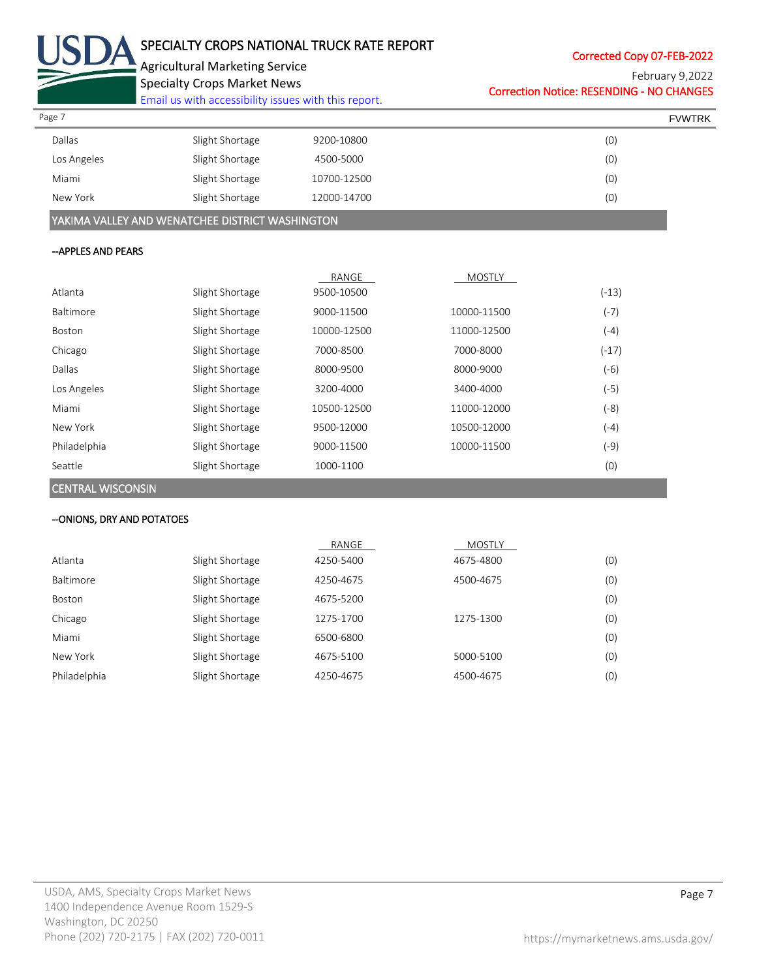

Corrected Copy 07-FEB-2022

February 9,2022

Specialty Crops Market News [Email us with accessibility issues with this report.](mailto:mars@ams.usda.gov?subject=508%20Inquiry/Report) Correction Notice: RESENDING - NO CHANGES

| Page 7      |                 |             | <b>FVWTRK</b> |
|-------------|-----------------|-------------|---------------|
| Dallas      | Slight Shortage | 9200-10800  | (0)           |
| Los Angeles | Slight Shortage | 4500-5000   | (0)           |
| Miami       | Slight Shortage | 10700-12500 | (0)           |
| New York    | Slight Shortage | 12000-14700 | (0)           |
|             |                 |             |               |

YAKIMA VALLEY AND WENATCHEE DISTRICT WASHINGTON

## --APPLES AND PEARS

|              |                 | RANGE       | <b>MOSTLY</b> |         |
|--------------|-----------------|-------------|---------------|---------|
| Atlanta      | Slight Shortage | 9500-10500  |               | $(-13)$ |
| Baltimore    | Slight Shortage | 9000-11500  | 10000-11500   | (-7)    |
| Boston       | Slight Shortage | 10000-12500 | 11000-12500   | (-4)    |
| Chicago      | Slight Shortage | 7000-8500   | 7000-8000     | $(-17)$ |
| Dallas       | Slight Shortage | 8000-9500   | 8000-9000     | (-6)    |
| Los Angeles  | Slight Shortage | 3200-4000   | 3400-4000     | $(-5)$  |
| Miami        | Slight Shortage | 10500-12500 | 11000-12000   | (-8)    |
| New York     | Slight Shortage | 9500-12000  | 10500-12000   | (-4)    |
| Philadelphia | Slight Shortage | 9000-11500  | 10000-11500   | (-9)    |
| Seattle      | Slight Shortage | 1000-1100   |               | (0)     |

CENTRAL WISCONSIN

### --ONIONS, DRY AND POTATOES

|              |                 | RANGE     | <b>MOSTLY</b> |     |
|--------------|-----------------|-----------|---------------|-----|
| Atlanta      | Slight Shortage | 4250-5400 | 4675-4800     | (0) |
| Baltimore    | Slight Shortage | 4250-4675 | 4500-4675     | (0) |
| Boston       | Slight Shortage | 4675-5200 |               | (0) |
| Chicago      | Slight Shortage | 1275-1700 | 1275-1300     | (0) |
| Miami        | Slight Shortage | 6500-6800 |               | (0) |
| New York     | Slight Shortage | 4675-5100 | 5000-5100     | (0) |
| Philadelphia | Slight Shortage | 4250-4675 | 4500-4675     | (0) |